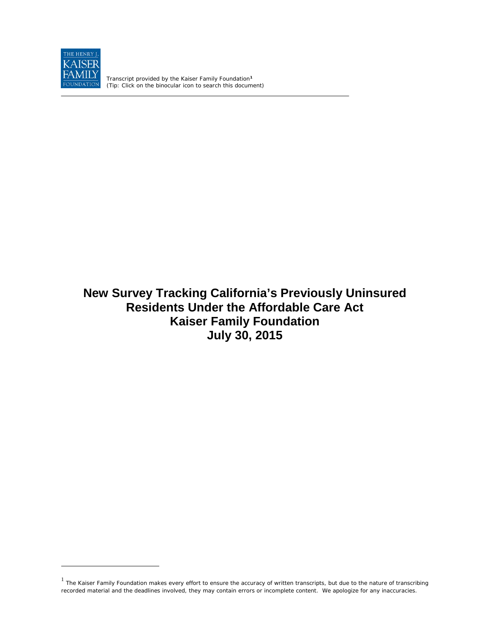

 $\overline{a}$ 

Transcript provided by the Kaiser Family Foundation**[1](#page-0-0)** *(Tip: Click on the binocular icon to search this document)*

# **New Survey Tracking California's Previously Uninsured Residents Under the Affordable Care Act Kaiser Family Foundation July 30, 2015**

<span id="page-0-0"></span> $<sup>1</sup>$  The Kaiser Family Foundation makes every effort to ensure the accuracy of written transcripts, but due to the nature of transcribing</sup> recorded material and the deadlines involved, they may contain errors or incomplete content. We apologize for any inaccuracies.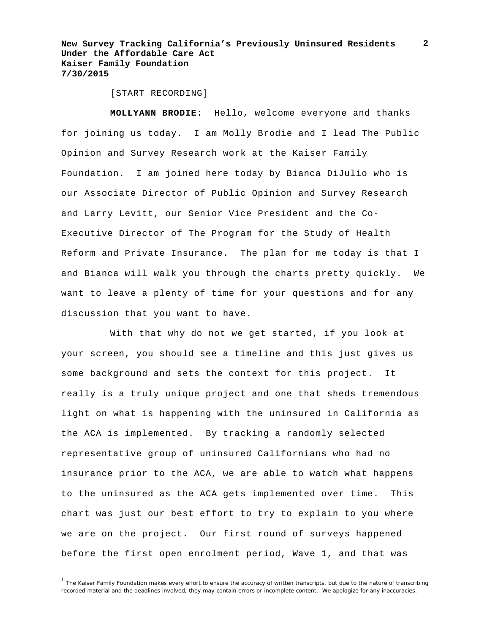**2**

[START RECORDING]

**MOLLYANN BRODIE:** Hello, welcome everyone and thanks for joining us today. I am Molly Brodie and I lead The Public Opinion and Survey Research work at the Kaiser Family Foundation. I am joined here today by Bianca DiJulio who is our Associate Director of Public Opinion and Survey Research and Larry Levitt, our Senior Vice President and the Co-Executive Director of The Program for the Study of Health Reform and Private Insurance. The plan for me today is that I and Bianca will walk you through the charts pretty quickly. We want to leave a plenty of time for your questions and for any discussion that you want to have.

With that why do not we get started, if you look at your screen, you should see a timeline and this just gives us some background and sets the context for this project. It really is a truly unique project and one that sheds tremendous light on what is happening with the uninsured in California as the ACA is implemented. By tracking a randomly selected representative group of uninsured Californians who had no insurance prior to the ACA, we are able to watch what happens to the uninsured as the ACA gets implemented over time. This chart was just our best effort to try to explain to you where we are on the project. Our first round of surveys happened before the first open enrolment period, Wave 1, and that was

<sup>&</sup>lt;sup>1</sup> The Kaiser Family Foundation makes every effort to ensure the accuracy of written transcripts, but due to the nature of transcribing recorded material and the deadlines involved, they may contain errors or incomplete content. We apologize for any inaccuracies.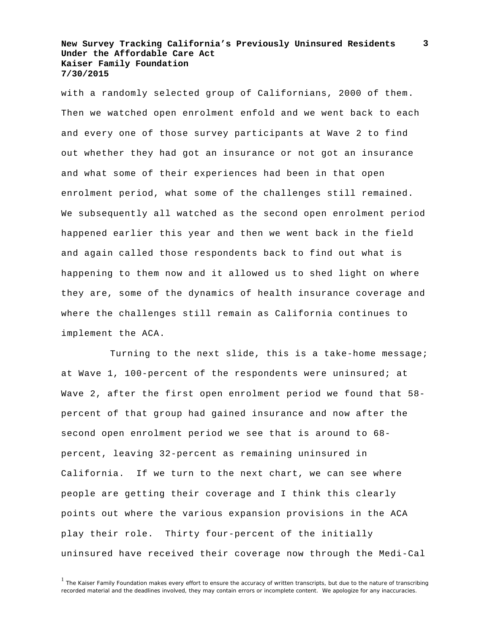with a randomly selected group of Californians, 2000 of them. Then we watched open enrolment enfold and we went back to each and every one of those survey participants at Wave 2 to find out whether they had got an insurance or not got an insurance and what some of their experiences had been in that open enrolment period, what some of the challenges still remained. We subsequently all watched as the second open enrolment period happened earlier this year and then we went back in the field and again called those respondents back to find out what is happening to them now and it allowed us to shed light on where they are, some of the dynamics of health insurance coverage and where the challenges still remain as California continues to implement the ACA.

Turning to the next slide, this is a take-home message; at Wave 1, 100-percent of the respondents were uninsured; at Wave 2, after the first open enrolment period we found that 58 percent of that group had gained insurance and now after the second open enrolment period we see that is around to 68 percent, leaving 32-percent as remaining uninsured in California. If we turn to the next chart, we can see where people are getting their coverage and I think this clearly points out where the various expansion provisions in the ACA play their role. Thirty four-percent of the initially uninsured have received their coverage now through the Medi-Cal

**3**

<sup>&</sup>lt;sup>1</sup> The Kaiser Family Foundation makes every effort to ensure the accuracy of written transcripts, but due to the nature of transcribing recorded material and the deadlines involved, they may contain errors or incomplete content. We apologize for any inaccuracies.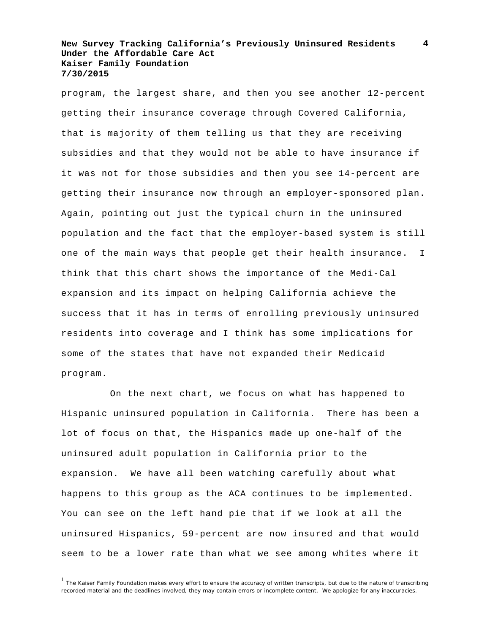**4**

program, the largest share, and then you see another 12-percent getting their insurance coverage through Covered California, that is majority of them telling us that they are receiving subsidies and that they would not be able to have insurance if it was not for those subsidies and then you see 14-percent are getting their insurance now through an employer-sponsored plan. Again, pointing out just the typical churn in the uninsured population and the fact that the employer-based system is still one of the main ways that people get their health insurance. I think that this chart shows the importance of the Medi-Cal expansion and its impact on helping California achieve the success that it has in terms of enrolling previously uninsured residents into coverage and I think has some implications for some of the states that have not expanded their Medicaid program.

On the next chart, we focus on what has happened to Hispanic uninsured population in California. There has been a lot of focus on that, the Hispanics made up one-half of the uninsured adult population in California prior to the expansion. We have all been watching carefully about what happens to this group as the ACA continues to be implemented. You can see on the left hand pie that if we look at all the uninsured Hispanics, 59-percent are now insured and that would seem to be a lower rate than what we see among whites where it

<sup>&</sup>lt;sup>1</sup> The Kaiser Family Foundation makes every effort to ensure the accuracy of written transcripts, but due to the nature of transcribing recorded material and the deadlines involved, they may contain errors or incomplete content. We apologize for any inaccuracies.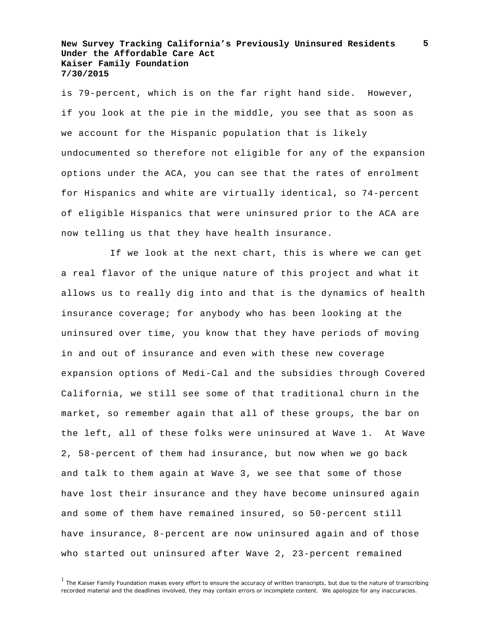**5**

is 79-percent, which is on the far right hand side. However, if you look at the pie in the middle, you see that as soon as we account for the Hispanic population that is likely undocumented so therefore not eligible for any of the expansion options under the ACA, you can see that the rates of enrolment for Hispanics and white are virtually identical, so 74-percent of eligible Hispanics that were uninsured prior to the ACA are now telling us that they have health insurance.

If we look at the next chart, this is where we can get a real flavor of the unique nature of this project and what it allows us to really dig into and that is the dynamics of health insurance coverage; for anybody who has been looking at the uninsured over time, you know that they have periods of moving in and out of insurance and even with these new coverage expansion options of Medi-Cal and the subsidies through Covered California, we still see some of that traditional churn in the market, so remember again that all of these groups, the bar on the left, all of these folks were uninsured at Wave 1. At Wave 2, 58-percent of them had insurance, but now when we go back and talk to them again at Wave 3, we see that some of those have lost their insurance and they have become uninsured again and some of them have remained insured, so 50-percent still have insurance, 8-percent are now uninsured again and of those who started out uninsured after Wave 2, 23-percent remained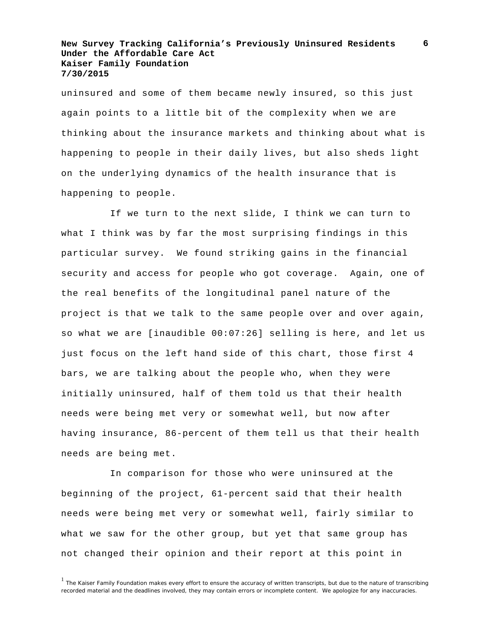uninsured and some of them became newly insured, so this just again points to a little bit of the complexity when we are thinking about the insurance markets and thinking about what is happening to people in their daily lives, but also sheds light on the underlying dynamics of the health insurance that is happening to people.

If we turn to the next slide, I think we can turn to what I think was by far the most surprising findings in this particular survey. We found striking gains in the financial security and access for people who got coverage. Again, one of the real benefits of the longitudinal panel nature of the project is that we talk to the same people over and over again, so what we are [inaudible 00:07:26] selling is here, and let us just focus on the left hand side of this chart, those first 4 bars, we are talking about the people who, when they were initially uninsured, half of them told us that their health needs were being met very or somewhat well, but now after having insurance, 86-percent of them tell us that their health needs are being met.

In comparison for those who were uninsured at the beginning of the project, 61-percent said that their health needs were being met very or somewhat well, fairly similar to what we saw for the other group, but yet that same group has not changed their opinion and their report at this point in

**6**

<sup>&</sup>lt;sup>1</sup> The Kaiser Family Foundation makes every effort to ensure the accuracy of written transcripts, but due to the nature of transcribing recorded material and the deadlines involved, they may contain errors or incomplete content. We apologize for any inaccuracies.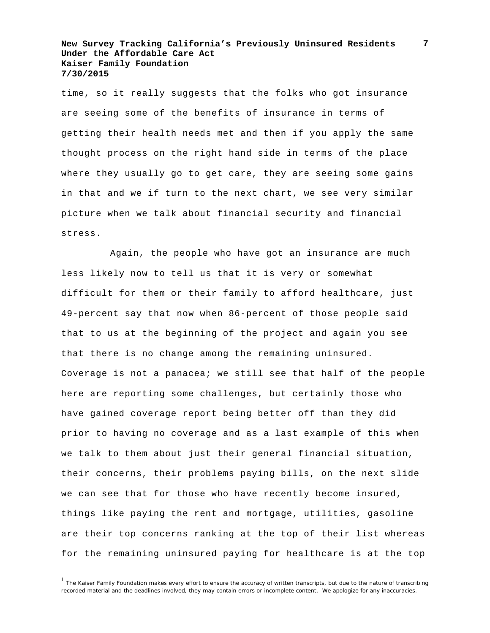time, so it really suggests that the folks who got insurance are seeing some of the benefits of insurance in terms of getting their health needs met and then if you apply the same thought process on the right hand side in terms of the place where they usually go to get care, they are seeing some gains in that and we if turn to the next chart, we see very similar picture when we talk about financial security and financial stress.

Again, the people who have got an insurance are much less likely now to tell us that it is very or somewhat difficult for them or their family to afford healthcare, just 49-percent say that now when 86-percent of those people said that to us at the beginning of the project and again you see that there is no change among the remaining uninsured. Coverage is not a panacea; we still see that half of the people here are reporting some challenges, but certainly those who have gained coverage report being better off than they did prior to having no coverage and as a last example of this when we talk to them about just their general financial situation, their concerns, their problems paying bills, on the next slide we can see that for those who have recently become insured, things like paying the rent and mortgage, utilities, gasoline are their top concerns ranking at the top of their list whereas for the remaining uninsured paying for healthcare is at the top

**7**

<sup>&</sup>lt;sup>1</sup> The Kaiser Family Foundation makes every effort to ensure the accuracy of written transcripts, but due to the nature of transcribing recorded material and the deadlines involved, they may contain errors or incomplete content. We apologize for any inaccuracies.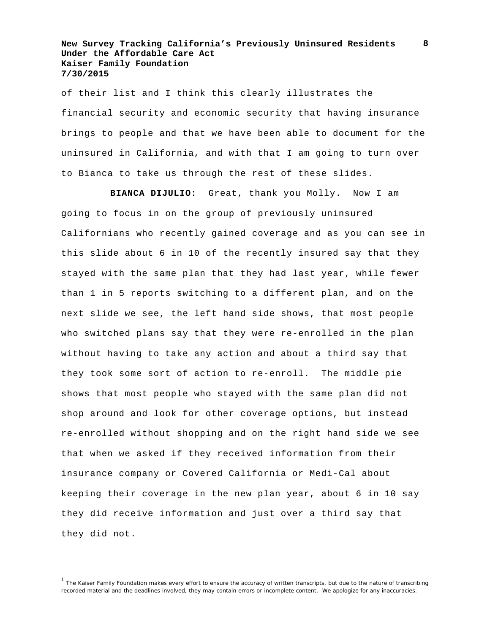of their list and I think this clearly illustrates the financial security and economic security that having insurance brings to people and that we have been able to document for the uninsured in California, and with that I am going to turn over to Bianca to take us through the rest of these slides.

**BIANCA DIJULIO:** Great, thank you Molly. Now I am going to focus in on the group of previously uninsured Californians who recently gained coverage and as you can see in this slide about 6 in 10 of the recently insured say that they stayed with the same plan that they had last year, while fewer than 1 in 5 reports switching to a different plan, and on the next slide we see, the left hand side shows, that most people who switched plans say that they were re-enrolled in the plan without having to take any action and about a third say that they took some sort of action to re-enroll. The middle pie shows that most people who stayed with the same plan did not shop around and look for other coverage options, but instead re-enrolled without shopping and on the right hand side we see that when we asked if they received information from their insurance company or Covered California or Medi-Cal about keeping their coverage in the new plan year, about 6 in 10 say they did receive information and just over a third say that they did not.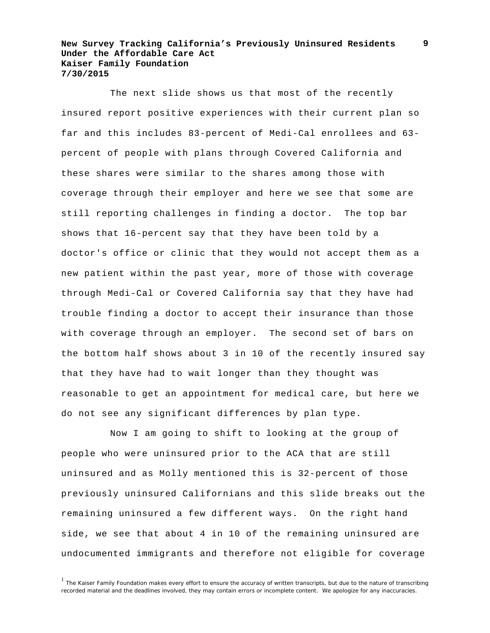The next slide shows us that most of the recently insured report positive experiences with their current plan so far and this includes 83-percent of Medi-Cal enrollees and 63 percent of people with plans through Covered California and these shares were similar to the shares among those with coverage through their employer and here we see that some are still reporting challenges in finding a doctor. The top bar shows that 16-percent say that they have been told by a doctor's office or clinic that they would not accept them as a new patient within the past year, more of those with coverage through Medi-Cal or Covered California say that they have had trouble finding a doctor to accept their insurance than those with coverage through an employer. The second set of bars on the bottom half shows about 3 in 10 of the recently insured say that they have had to wait longer than they thought was reasonable to get an appointment for medical care, but here we do not see any significant differences by plan type.

Now I am going to shift to looking at the group of people who were uninsured prior to the ACA that are still uninsured and as Molly mentioned this is 32-percent of those previously uninsured Californians and this slide breaks out the remaining uninsured a few different ways. On the right hand side, we see that about 4 in 10 of the remaining uninsured are undocumented immigrants and therefore not eligible for coverage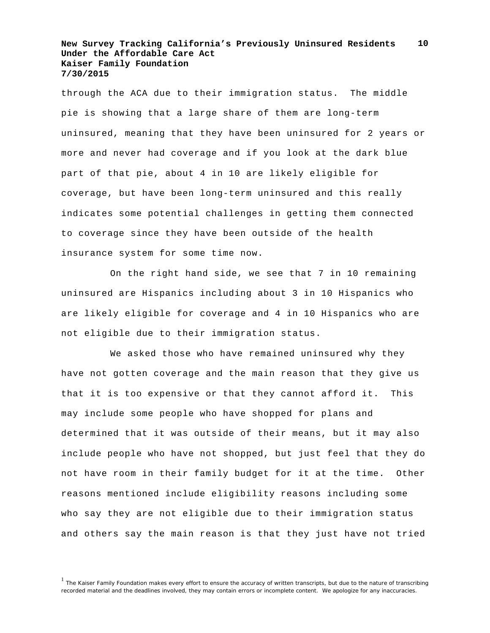through the ACA due to their immigration status. The middle pie is showing that a large share of them are long-term uninsured, meaning that they have been uninsured for 2 years or more and never had coverage and if you look at the dark blue part of that pie, about 4 in 10 are likely eligible for coverage, but have been long-term uninsured and this really indicates some potential challenges in getting them connected to coverage since they have been outside of the health insurance system for some time now.

On the right hand side, we see that 7 in 10 remaining uninsured are Hispanics including about 3 in 10 Hispanics who are likely eligible for coverage and 4 in 10 Hispanics who are not eligible due to their immigration status.

We asked those who have remained uninsured why they have not gotten coverage and the main reason that they give us that it is too expensive or that they cannot afford it. This may include some people who have shopped for plans and determined that it was outside of their means, but it may also include people who have not shopped, but just feel that they do not have room in their family budget for it at the time. Other reasons mentioned include eligibility reasons including some who say they are not eligible due to their immigration status and others say the main reason is that they just have not tried

<sup>&</sup>lt;sup>1</sup> The Kaiser Family Foundation makes every effort to ensure the accuracy of written transcripts, but due to the nature of transcribing recorded material and the deadlines involved, they may contain errors or incomplete content. We apologize for any inaccuracies.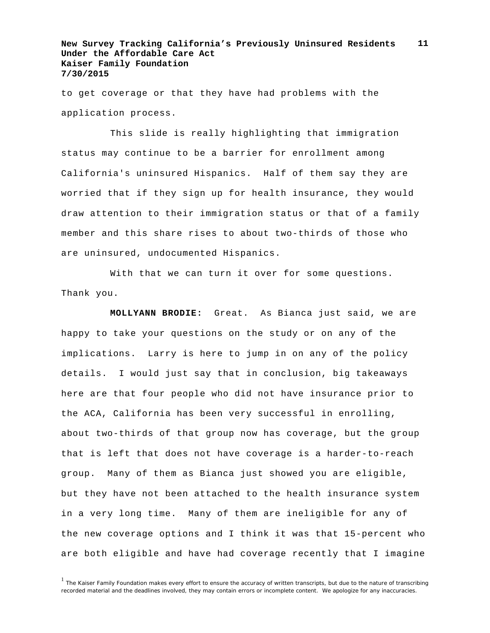to get coverage or that they have had problems with the application process.

This slide is really highlighting that immigration status may continue to be a barrier for enrollment among California's uninsured Hispanics. Half of them say they are worried that if they sign up for health insurance, they would draw attention to their immigration status or that of a family member and this share rises to about two-thirds of those who are uninsured, undocumented Hispanics.

With that we can turn it over for some questions. Thank you.

**MOLLYANN BRODIE:** Great. As Bianca just said, we are happy to take your questions on the study or on any of the implications. Larry is here to jump in on any of the policy details. I would just say that in conclusion, big takeaways here are that four people who did not have insurance prior to the ACA, California has been very successful in enrolling, about two-thirds of that group now has coverage, but the group that is left that does not have coverage is a harder-to-reach group. Many of them as Bianca just showed you are eligible, but they have not been attached to the health insurance system in a very long time. Many of them are ineligible for any of the new coverage options and I think it was that 15-percent who are both eligible and have had coverage recently that I imagine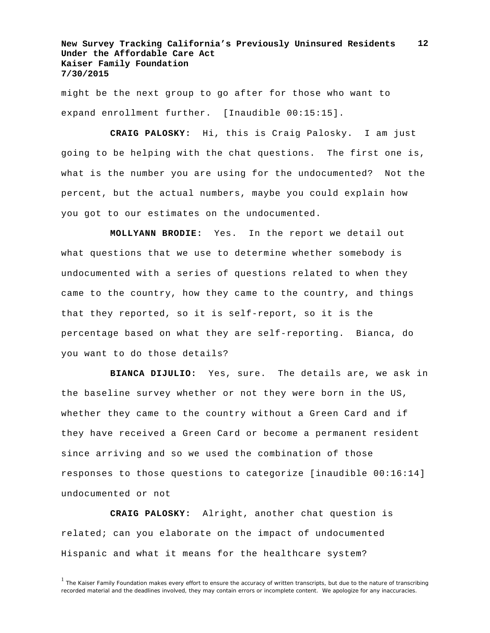might be the next group to go after for those who want to expand enrollment further. [Inaudible 00:15:15].

**CRAIG PALOSKY:** Hi, this is Craig Palosky. I am just going to be helping with the chat questions. The first one is, what is the number you are using for the undocumented? Not the percent, but the actual numbers, maybe you could explain how you got to our estimates on the undocumented.

**MOLLYANN BRODIE:** Yes. In the report we detail out what questions that we use to determine whether somebody is undocumented with a series of questions related to when they came to the country, how they came to the country, and things that they reported, so it is self-report, so it is the percentage based on what they are self-reporting. Bianca, do you want to do those details?

**BIANCA DIJULIO:** Yes, sure. The details are, we ask in the baseline survey whether or not they were born in the US, whether they came to the country without a Green Card and if they have received a Green Card or become a permanent resident since arriving and so we used the combination of those responses to those questions to categorize [inaudible 00:16:14] undocumented or not

**CRAIG PALOSKY:** Alright, another chat question is related; can you elaborate on the impact of undocumented Hispanic and what it means for the healthcare system?

<sup>&</sup>lt;sup>1</sup> The Kaiser Family Foundation makes every effort to ensure the accuracy of written transcripts, but due to the nature of transcribing recorded material and the deadlines involved, they may contain errors or incomplete content. We apologize for any inaccuracies.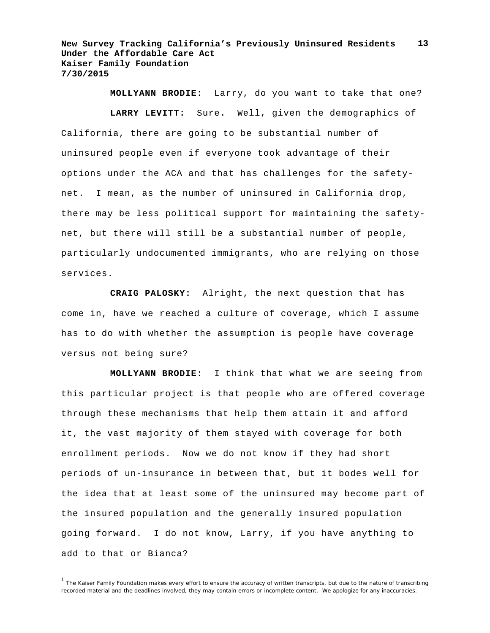**MOLLYANN BRODIE:** Larry, do you want to take that one?

**LARRY LEVITT:** Sure. Well, given the demographics of California, there are going to be substantial number of uninsured people even if everyone took advantage of their options under the ACA and that has challenges for the safetynet. I mean, as the number of uninsured in California drop, there may be less political support for maintaining the safetynet, but there will still be a substantial number of people, particularly undocumented immigrants, who are relying on those services.

**CRAIG PALOSKY:** Alright, the next question that has come in, have we reached a culture of coverage, which I assume has to do with whether the assumption is people have coverage versus not being sure?

**MOLLYANN BRODIE:** I think that what we are seeing from this particular project is that people who are offered coverage through these mechanisms that help them attain it and afford it, the vast majority of them stayed with coverage for both enrollment periods. Now we do not know if they had short periods of un-insurance in between that, but it bodes well for the idea that at least some of the uninsured may become part of the insured population and the generally insured population going forward. I do not know, Larry, if you have anything to add to that or Bianca?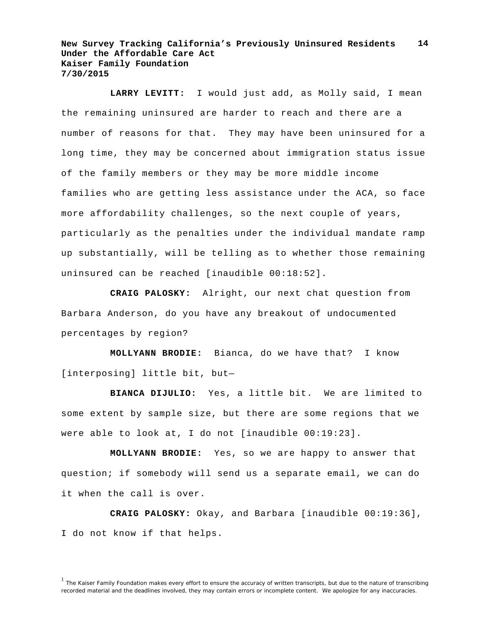**LARRY LEVITT:** I would just add, as Molly said, I mean the remaining uninsured are harder to reach and there are a number of reasons for that. They may have been uninsured for a long time, they may be concerned about immigration status issue of the family members or they may be more middle income families who are getting less assistance under the ACA, so face more affordability challenges, so the next couple of years, particularly as the penalties under the individual mandate ramp up substantially, will be telling as to whether those remaining uninsured can be reached [inaudible 00:18:52].

**CRAIG PALOSKY:** Alright, our next chat question from Barbara Anderson, do you have any breakout of undocumented percentages by region?

**MOLLYANN BRODIE:** Bianca, do we have that? I know [interposing] little bit, but—

**BIANCA DIJULIO:** Yes, a little bit. We are limited to some extent by sample size, but there are some regions that we were able to look at, I do not [inaudible 00:19:23].

**MOLLYANN BRODIE:** Yes, so we are happy to answer that question; if somebody will send us a separate email, we can do it when the call is over.

**CRAIG PALOSKY:** Okay, and Barbara [inaudible 00:19:36], I do not know if that helps.

<sup>&</sup>lt;sup>1</sup> The Kaiser Family Foundation makes every effort to ensure the accuracy of written transcripts, but due to the nature of transcribing recorded material and the deadlines involved, they may contain errors or incomplete content. We apologize for any inaccuracies.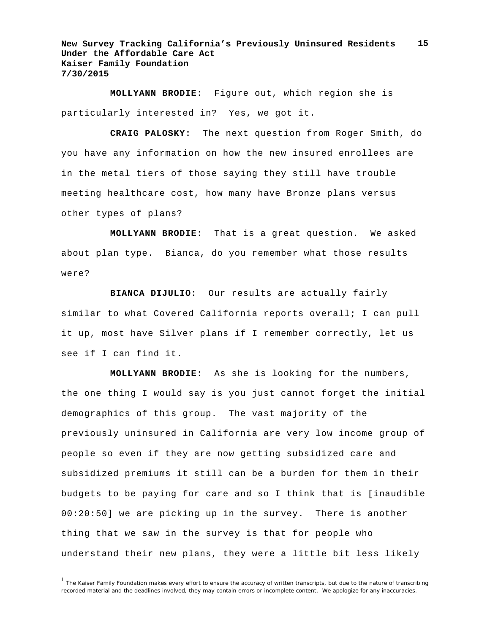**MOLLYANN BRODIE:** Figure out, which region she is particularly interested in? Yes, we got it.

**CRAIG PALOSKY:** The next question from Roger Smith, do you have any information on how the new insured enrollees are in the metal tiers of those saying they still have trouble meeting healthcare cost, how many have Bronze plans versus other types of plans?

**MOLLYANN BRODIE:** That is a great question. We asked about plan type. Bianca, do you remember what those results were?

**BIANCA DIJULIO:** Our results are actually fairly similar to what Covered California reports overall; I can pull it up, most have Silver plans if I remember correctly, let us see if I can find it.

**MOLLYANN BRODIE:** As she is looking for the numbers, the one thing I would say is you just cannot forget the initial demographics of this group. The vast majority of the previously uninsured in California are very low income group of people so even if they are now getting subsidized care and subsidized premiums it still can be a burden for them in their budgets to be paying for care and so I think that is [inaudible 00:20:50] we are picking up in the survey. There is another thing that we saw in the survey is that for people who understand their new plans, they were a little bit less likely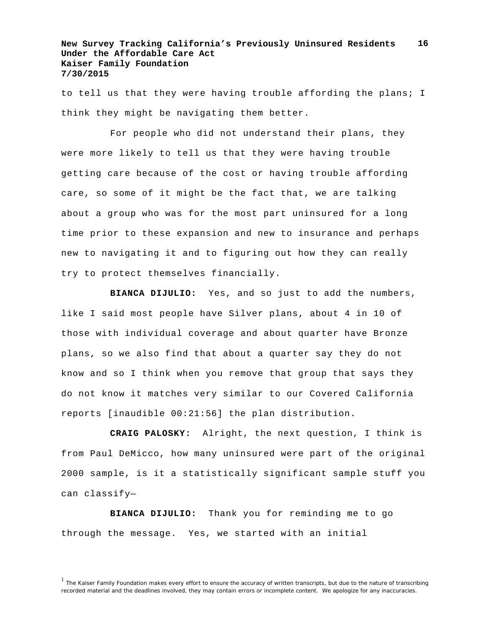to tell us that they were having trouble affording the plans; I think they might be navigating them better.

For people who did not understand their plans, they were more likely to tell us that they were having trouble getting care because of the cost or having trouble affording care, so some of it might be the fact that, we are talking about a group who was for the most part uninsured for a long time prior to these expansion and new to insurance and perhaps new to navigating it and to figuring out how they can really try to protect themselves financially.

**BIANCA DIJULIO:** Yes, and so just to add the numbers, like I said most people have Silver plans, about 4 in 10 of those with individual coverage and about quarter have Bronze plans, so we also find that about a quarter say they do not know and so I think when you remove that group that says they do not know it matches very similar to our Covered California reports [inaudible 00:21:56] the plan distribution.

**CRAIG PALOSKY:** Alright, the next question, I think is from Paul DeMicco, how many uninsured were part of the original 2000 sample, is it a statistically significant sample stuff you can classify—

**BIANCA DIJULIO:** Thank you for reminding me to go through the message. Yes, we started with an initial

<sup>&</sup>lt;sup>1</sup> The Kaiser Family Foundation makes every effort to ensure the accuracy of written transcripts, but due to the nature of transcribing recorded material and the deadlines involved, they may contain errors or incomplete content. We apologize for any inaccuracies.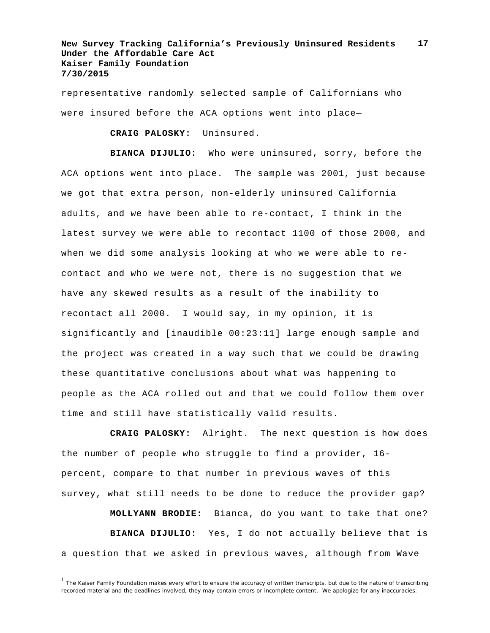representative randomly selected sample of Californians who were insured before the ACA options went into place—

**CRAIG PALOSKY:** Uninsured.

**BIANCA DIJULIO:** Who were uninsured, sorry, before the ACA options went into place. The sample was 2001, just because we got that extra person, non-elderly uninsured California adults, and we have been able to re-contact, I think in the latest survey we were able to recontact 1100 of those 2000, and when we did some analysis looking at who we were able to recontact and who we were not, there is no suggestion that we have any skewed results as a result of the inability to recontact all 2000. I would say, in my opinion, it is significantly and [inaudible 00:23:11] large enough sample and the project was created in a way such that we could be drawing these quantitative conclusions about what was happening to people as the ACA rolled out and that we could follow them over time and still have statistically valid results.

**CRAIG PALOSKY:** Alright. The next question is how does the number of people who struggle to find a provider, 16 percent, compare to that number in previous waves of this survey, what still needs to be done to reduce the provider gap?

**MOLLYANN BRODIE:** Bianca, do you want to take that one? **BIANCA DIJULIO:** Yes, I do not actually believe that is a question that we asked in previous waves, although from Wave

<sup>&</sup>lt;sup>1</sup> The Kaiser Family Foundation makes every effort to ensure the accuracy of written transcripts, but due to the nature of transcribing recorded material and the deadlines involved, they may contain errors or incomplete content. We apologize for any inaccuracies.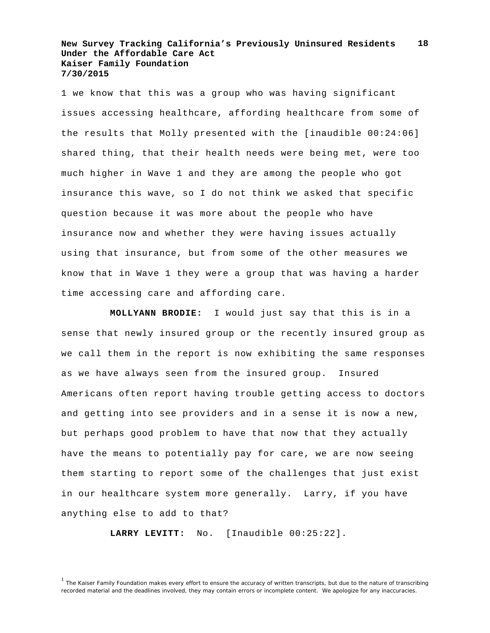1 we know that this was a group who was having significant issues accessing healthcare, affording healthcare from some of the results that Molly presented with the [inaudible 00:24:06] shared thing, that their health needs were being met, were too much higher in Wave 1 and they are among the people who got insurance this wave, so I do not think we asked that specific question because it was more about the people who have insurance now and whether they were having issues actually using that insurance, but from some of the other measures we know that in Wave 1 they were a group that was having a harder time accessing care and affording care.

**MOLLYANN BRODIE:** I would just say that this is in a sense that newly insured group or the recently insured group as we call them in the report is now exhibiting the same responses as we have always seen from the insured group. Insured Americans often report having trouble getting access to doctors and getting into see providers and in a sense it is now a new, but perhaps good problem to have that now that they actually have the means to potentially pay for care, we are now seeing them starting to report some of the challenges that just exist in our healthcare system more generally. Larry, if you have anything else to add to that?

**LARRY LEVITT:** No. [Inaudible 00:25:22].

<sup>&</sup>lt;sup>1</sup> The Kaiser Family Foundation makes every effort to ensure the accuracy of written transcripts, but due to the nature of transcribing recorded material and the deadlines involved, they may contain errors or incomplete content. We apologize for any inaccuracies.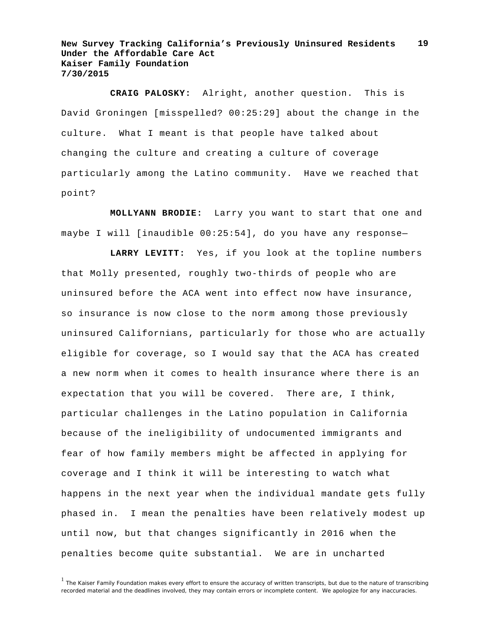**CRAIG PALOSKY:** Alright, another question. This is David Groningen [misspelled? 00:25:29] about the change in the culture. What I meant is that people have talked about changing the culture and creating a culture of coverage particularly among the Latino community. Have we reached that point?

**MOLLYANN BRODIE:** Larry you want to start that one and maybe I will [inaudible 00:25:54], do you have any response—

**LARRY LEVITT:** Yes, if you look at the topline numbers that Molly presented, roughly two-thirds of people who are uninsured before the ACA went into effect now have insurance, so insurance is now close to the norm among those previously uninsured Californians, particularly for those who are actually eligible for coverage, so I would say that the ACA has created a new norm when it comes to health insurance where there is an expectation that you will be covered. There are, I think, particular challenges in the Latino population in California because of the ineligibility of undocumented immigrants and fear of how family members might be affected in applying for coverage and I think it will be interesting to watch what happens in the next year when the individual mandate gets fully phased in. I mean the penalties have been relatively modest up until now, but that changes significantly in 2016 when the penalties become quite substantial. We are in uncharted